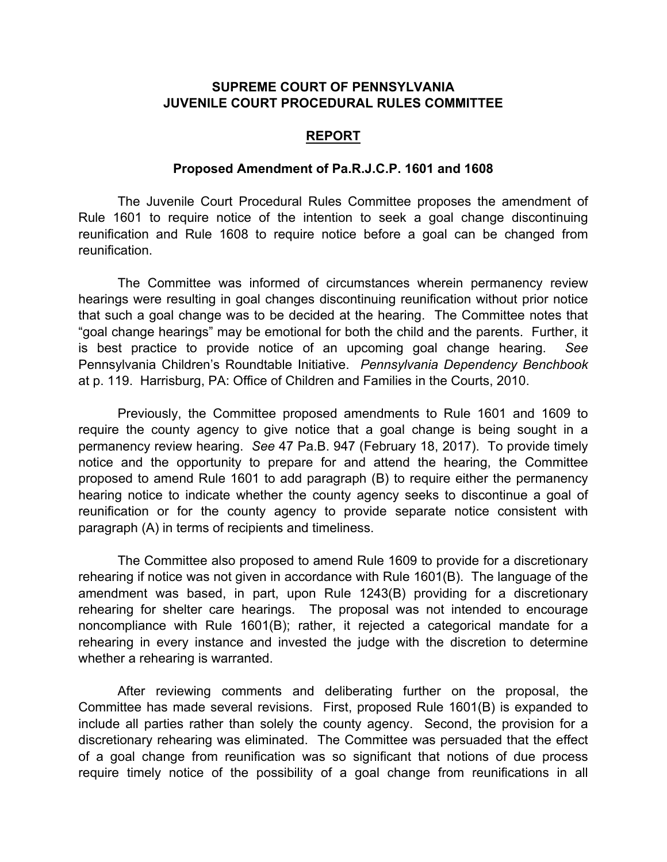## **SUPREME COURT OF PENNSYLVANIA JUVENILE COURT PROCEDURAL RULES COMMITTEE**

## **REPORT**

## **Proposed Amendment of Pa.R.J.C.P. 1601 and 1608**

The Juvenile Court Procedural Rules Committee proposes the amendment of Rule 1601 to require notice of the intention to seek a goal change discontinuing reunification and Rule 1608 to require notice before a goal can be changed from reunification.

The Committee was informed of circumstances wherein permanency review hearings were resulting in goal changes discontinuing reunification without prior notice that such a goal change was to be decided at the hearing. The Committee notes that "goal change hearings" may be emotional for both the child and the parents. Further, it is best practice to provide notice of an upcoming goal change hearing. *See* Pennsylvania Children's Roundtable Initiative. *Pennsylvania Dependency Benchbook* at p. 119. Harrisburg, PA: Office of Children and Families in the Courts, 2010.

Previously, the Committee proposed amendments to Rule 1601 and 1609 to require the county agency to give notice that a goal change is being sought in a permanency review hearing. *See* 47 Pa.B. 947 (February 18, 2017).To provide timely notice and the opportunity to prepare for and attend the hearing, the Committee proposed to amend Rule 1601 to add paragraph (B) to require either the permanency hearing notice to indicate whether the county agency seeks to discontinue a goal of reunification or for the county agency to provide separate notice consistent with paragraph (A) in terms of recipients and timeliness.

The Committee also proposed to amend Rule 1609 to provide for a discretionary rehearing if notice was not given in accordance with Rule 1601(B). The language of the amendment was based, in part, upon Rule 1243(B) providing for a discretionary rehearing for shelter care hearings. The proposal was not intended to encourage noncompliance with Rule 1601(B); rather, it rejected a categorical mandate for a rehearing in every instance and invested the judge with the discretion to determine whether a rehearing is warranted.

After reviewing comments and deliberating further on the proposal, the Committee has made several revisions. First, proposed Rule 1601(B) is expanded to include all parties rather than solely the county agency. Second, the provision for a discretionary rehearing was eliminated. The Committee was persuaded that the effect of a goal change from reunification was so significant that notions of due process require timely notice of the possibility of a goal change from reunifications in all